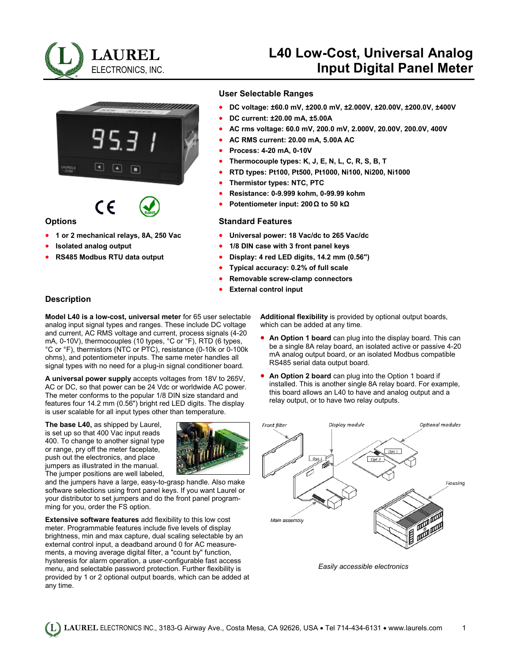

# **L40 Low-Cost, Universal Analog Input Digital Panel Meter**



( F

## **Options**

- **1 or 2 mechanical relays, 8A, 250 Vac**
- **Isolated analog output**
- **RS485 Modbus RTU data output**

#### **User Selectable Ranges**

- **DC voltage: ±60.0 mV, ±200.0 mV, ±2.000V, ±20.00V, ±200.0V, ±400V**
- **DC current: ±20.00 mA, ±5.00A**
- **AC rms voltage: 60.0 mV, 200.0 mV, 2.000V, 20.00V, 200.0V, 400V**
- **AC RMS current: 20.00 mA, 5.00A AC**
- **Process: 4-20 mA, 0-10V**
- **Thermocouple types: K, J, E, N, L, C, R, S, B, T**
- **RTD types: Pt100, Pt500, Pt1000, Ni100, Ni200, Ni1000**
- **Thermistor types: NTC, PTC**
- **Resistance: 0-9.999 kohm, 0-99.99 kohm**
- **Potentiometer input: 200Ω to 50 kΩ**

#### **Standard Features**

- **Universal power: 18 Vac/dc to 265 Vac/dc**
- **1/8 DIN case with 3 front panel keys**
- **Display: 4 red LED digits, 14.2 mm (0.56")**
- **Typical accuracy: 0.2% of full scale**
- **Removable screw-clamp connectors**
- **External control input**

## **Description**

**Model L40 is a low-cost, universal meter** for 65 user selectable analog input signal types and ranges. These include DC voltage and current, AC RMS voltage and current, process signals (4-20 mA, 0-10V), thermocouples (10 types, °C or °F), RTD (6 types, °C or °F), thermistors (NTC or PTC), resistance (0-10k or 0-100k ohms), and potentiometer inputs. The same meter handles all signal types with no need for a plug-in signal conditioner board.

**A universal power supply** accepts voltages from 18V to 265V, AC or DC, so that power can be 24 Vdc or worldwide AC power. The meter conforms to the popular 1/8 DIN size standard and features four 14.2 mm (0.56") bright red LED digits. The display is user scalable for all input types other than temperature.

**The base L40,** as shipped by Laurel, is set up so that 400 Vac input reads 400. To change to another signal type or range, pry off the meter faceplate, push out the electronics, and place jumpers as illustrated in the manual. The jumper positions are well labeled,



and the jumpers have a large, easy-to-grasp handle. Also make software selections using front panel keys. If you want Laurel or your distributor to set jumpers and do the front panel programming for you, order the FS option.

**Extensive software features** add flexibility to this low cost meter. Programmable features include five levels of display brightness, min and max capture, dual scaling selectable by an external control input, a deadband around 0 for AC measurements, a moving average digital filter, a "count by" function, hysteresis for alarm operation, a user-configurable fast access menu, and selectable password protection. Further flexibility is provided by 1 or 2 optional output boards, which can be added at any time.

**Additional flexibility** is provided by optional output boards, which can be added at any time.

- **An Option 1 board** can plug into the display board. This can be a single 8A relay board, an isolated active or passive 4-20 mA analog output board, or an isolated Modbus compatible RS485 serial data output board.
- **An Option 2 board** can plug into the Option 1 board if installed. This is another single 8A relay board. For example, this board allows an L40 to have and analog output and a relay output, or to have two relay outputs.



*Easily accessible electronics*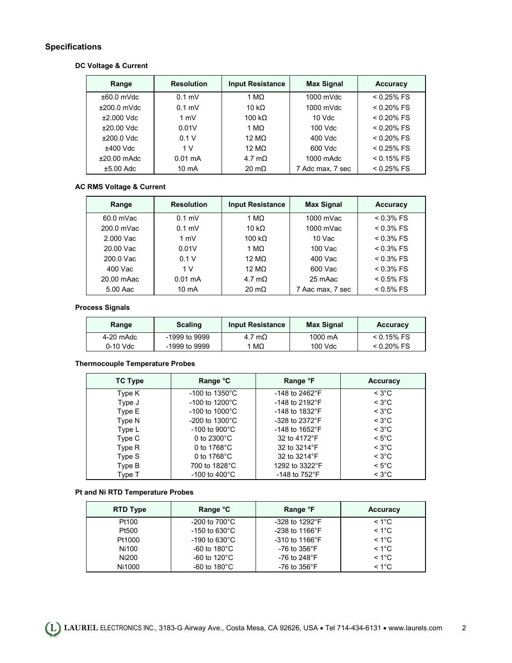## **Specifications**

## **DC Voltage & Current**

| Range         | <b>Resolution</b> | <b>Input Resistance</b> | <b>Max Signal</b> | <b>Accuracy</b> |
|---------------|-------------------|-------------------------|-------------------|-----------------|
| $±60.0$ mVdc  | $0.1$ mV          | 1 M $\Omega$            | $1000$ mVdc       | $< 0.25\%$ FS   |
| $±200.0$ mVdc | $0.1$ mV          | 10 k $\Omega$           | $1000$ mVdc       | $< 0.20\%$ FS   |
| $±2.000$ Vdc  | $1 \text{ mV}$    | 100 $k\Omega$           | $10$ Vdc          | $< 0.20\%$ FS   |
| $±20.00$ Vdc  | 0.01V             | 1 M $\Omega$            | 100 Vdc           | $< 0.20\%$ FS   |
| $±200.0$ Vdc  | 0.1V              | 12 M $\Omega$           | 400 Vdc           | $< 0.20\%$ FS   |
| $±400$ Vdc    | 1 <sub>V</sub>    | 12 M $\Omega$           | 600 Vdc           | $< 0.25\%$ FS   |
| $±20.00$ mAdc | $0.01 \text{ mA}$ | 4.7 m $\Omega$          | 1000 mAdc         | $< 0.15\%$ FS   |
| $±5.00$ Adc   | 10 mA             | $20 \text{ m}\Omega$    | 7 Adc max, 7 sec  | $< 0.25%$ FS    |

## **AC RMS Voltage & Current**

| Range      | <b>Resolution</b> | <b>Input Resistance</b> | <b>Max Signal</b> | <b>Accuracy</b> |
|------------|-------------------|-------------------------|-------------------|-----------------|
| 60.0 mVac  | $0.1$ mV          | 1 M $\Omega$            | 1000 mVac         | $< 0.3\%$ FS    |
| 200.0 mVac | $0.1$ mV          | 10 k $\Omega$           | 1000 mVac         | $< 0.3\%$ FS    |
| 2.000 Vac  | $1 \text{ mV}$    | 100 k $\Omega$          | 10 Vac            | $< 0.3\%$ FS    |
| 20.00 Vac  | 0.01V             | 1 MΩ                    | 100 Vac           | $< 0.3\%$ FS    |
| 200.0 Vac  | 0.1V              | 12 M $\Omega$           | 400 Vac           | $< 0.3\%$ FS    |
| 400 Vac    | 1 V               | 12 M $\Omega$           | 600 Vac           | $< 0.3\%$ FS    |
| 20.00 mAac | $0.01 \text{ mA}$ | 4.7 m $\Omega$          | 25 mAac           | $< 0.5\%$ FS    |
| 5.00 Aac   | 10 mA             | $20 \text{ m}\Omega$    | 7 Aac max, 7 sec  | $< 0.5\%$ FS    |

## **Process Signals**

| Range     | <b>Scaling</b> | <b>Input Resistance</b> | <b>Max Signal</b> | <b>Accuracy</b> |
|-----------|----------------|-------------------------|-------------------|-----------------|
| 4-20 mAdc | -1999 to 9999  | 4.7 m $\Omega$          | 1000 mA           | $< 0.15\%$ FS   |
| 0-10 Vdc  | -1999 to 9999  | 1 MΩ                    | 100 Vdc           | $<$ 0.20% FS    |

## **Thermocouple Temperature Probes**

| TC Type | Range °C                    | Range °F                   | <b>Accuracy</b>    |
|---------|-----------------------------|----------------------------|--------------------|
| Type K  | $-100$ to 1350 $^{\circ}$ C | $-148$ to 2462°F           | $<$ 3°C            |
| Type J  | $-100$ to 1200 $^{\circ}$ C | $-148$ to 2192 $\degree$ F | $<$ 3°C            |
| Type E  | $-100$ to $1000^{\circ}$ C  | $-148$ to $1832^{\circ}$ F | $\leq 3^{\circ}$ C |
| Type N  | $-200$ to 1300 $^{\circ}$ C | $-328$ to $2372^{\circ}F$  | $<$ 3°C            |
| Type L  | $-100$ to $900^{\circ}$ C   | $-148$ to $1652^{\circ}$ F | $<$ 3°C            |
| Type C  | 0 to $2300^{\circ}$ C       | 32 to 4172°F               | $\leq 5^{\circ}$ C |
| Type R  | 0 to $1768^{\circ}$ C       | 32 to 3214°F               | $<$ 3°C            |
| Type S  | 0 to $1768^{\circ}$ C       | 32 to 3214°F               | $<$ 3°C            |
| Type B  | 700 to 1828°C               | 1292 to 3322°F             | $\leq 5^{\circ}$ C |
| Type T  | -100 to 400 $^{\circ}$ C    | -148 to $752^{\circ}$ F    | $<$ 3°C            |

## **Pt and Ni RTD Temperature Probes**

| <b>RTD Type</b> | Range °C                 | Range °F                   | <b>Accuracy</b> |
|-----------------|--------------------------|----------------------------|-----------------|
| Pt100           | -200 to $700^{\circ}$ C  | $-328$ to 1292 $\degree$ F | $< 1^{\circ}$ C |
| Pt500           | -150 to 630 $^{\circ}$ C | $-238$ to 1166 $\degree$ F | $< 1^{\circ}$ C |
| Pt1000          | -190 to 630 $^{\circ}$ C | $-310$ to $1166^{\circ}$ F | $< 1^{\circ}$ C |
| Ni100           | -60 to 180 $^{\circ}$ C  | -76 to 356 $^{\circ}$ F    | $< 1^{\circ}$ C |
| Ni200           | -60 to 120 $^{\circ}$ C  | -76 to 248°F               | $< 1^{\circ}$ C |
| Ni1000          | -60 to 180 $^{\circ}$ C  | -76 to 356 $\degree$ F     | $< 1^{\circ}$ C |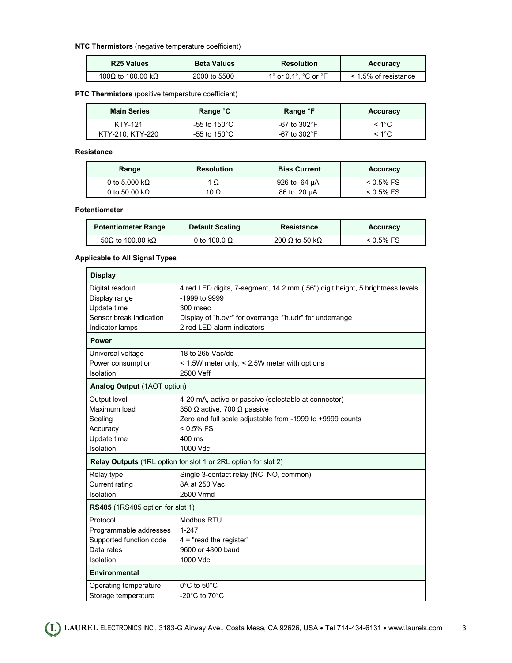## **NTC Thermistors** (negative temperature coefficient)

| R <sub>25</sub> Values | <b>Beta Values</b> | <b>Resolution</b>    | <b>Accuracy</b>           |
|------------------------|--------------------|----------------------|---------------------------|
| 100Ω to 100.00 kΩ      | 2000 to 5500       | 1° or 0.1°. °C or °F | $\leq$ 1.5% of resistance |

## **PTC Thermistors** (positive temperature coefficient)

| <b>Main Series</b> | Range °C          | Range °F     | <b>Accuracy</b> |
|--------------------|-------------------|--------------|-----------------|
| <b>KTY-121</b>     | -55 to 150°C $\,$ | -67 to 302°F | $< 1^{\circ}$ C |
| KTY-210, KTY-220   | -55 to 150°C $\,$ | -67 to 302°F | < 1°C           |

**Resistance** 

| Range                 | <b>Resolution</b> | <b>Bias Current</b> | <b>Accuracy</b> |
|-----------------------|-------------------|---------------------|-----------------|
| 0 to 5.000 k $\Omega$ | 1 Ω               | 926 to 64 µA        | $< 0.5\%$ FS    |
| 0 to 50.00 k $\Omega$ | 10 $\Omega$       | 86 to 20 µA         | $< 0.5\%$ FS    |

#### **Potentiometer**

| <b>Potentiometer Range</b> | <b>Default Scaling</b> | Resistance     | Accuracy     |
|----------------------------|------------------------|----------------|--------------|
| 50Ω to 100.00 kΩ           | 0 to 100.0 $\Omega$    | 200 Ω to 50 kΩ | $< 0.5\%$ FS |

## **Applicable to All Signal Types**

| <b>Display</b>                          |                                                                               |
|-----------------------------------------|-------------------------------------------------------------------------------|
| Digital readout                         | 4 red LED digits, 7-segment, 14.2 mm (.56") digit height, 5 brightness levels |
| Display range                           | -1999 to 9999                                                                 |
| Update time                             | 300 msec                                                                      |
| Sensor break indication                 | Display of "h.ovr" for overrange, "h.udr" for underrange                      |
| Indicator lamps                         | 2 red LED alarm indicators                                                    |
| <b>Power</b>                            |                                                                               |
| Universal voltage                       | 18 to 265 Vac/dc                                                              |
| Power consumption                       | < 1.5W meter only, < 2.5W meter with options                                  |
| Isolation                               | 2500 Veff                                                                     |
| Analog Output (1AOT option)             |                                                                               |
| Output level                            | 4-20 mA, active or passive (selectable at connector)                          |
| Maximum load                            | 350 $\Omega$ active, 700 $\Omega$ passive                                     |
| Scaling                                 | Zero and full scale adjustable from -1999 to +9999 counts                     |
| Accuracy                                | $< 0.5\%$ FS                                                                  |
| Update time                             | 400 ms                                                                        |
| Isolation                               | 1000 Vdc                                                                      |
|                                         | Relay Outputs (1RL option for slot 1 or 2RL option for slot 2)                |
| Relay type                              | Single 3-contact relay (NC, NO, common)                                       |
| Current rating                          | 8A at 250 Vac                                                                 |
| Isolation                               | 2500 Vrmd                                                                     |
| <b>RS485</b> (1RS485 option for slot 1) |                                                                               |
| Protocol                                | Modbus RTU                                                                    |
| Programmable addresses                  | $1 - 247$                                                                     |
| Supported function code                 | $4$ = "read the register"                                                     |
| Data rates                              | 9600 or 4800 baud                                                             |
| Isolation                               | 1000 Vdc                                                                      |
| <b>Environmental</b>                    |                                                                               |
| Operating temperature                   | 0°C to 50°C                                                                   |
| Storage temperature                     | -20 $^{\circ}$ C to 70 $^{\circ}$ C                                           |